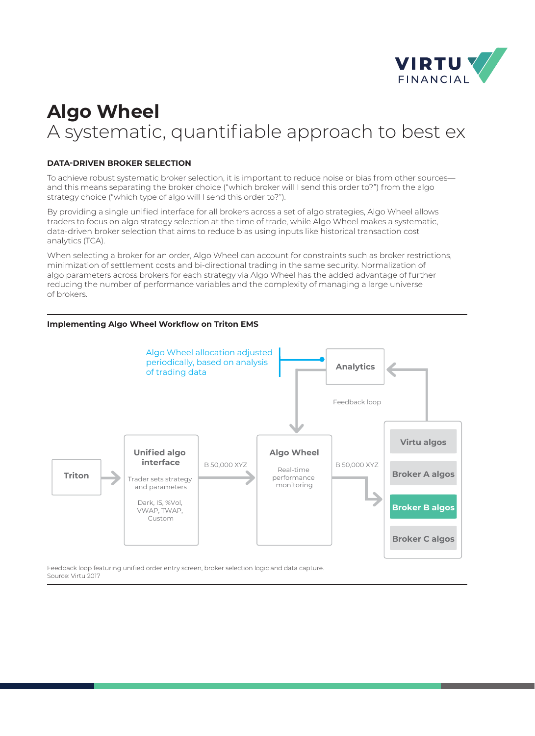

# **Algo Wheel**  A systematic, quantifiable approach to best ex

# **DATA-DRIVEN BROKER SELECTION**

To achieve robust systematic broker selection, it is important to reduce noise or bias from other sources and this means separating the broker choice ("which broker will I send this order to?") from the algo strategy choice ("which type of algo will I send this order to?").

By providing a single unified interface for all brokers across a set of algo strategies, Algo Wheel allows traders to focus on algo strategy selection at the time of trade, while Algo Wheel makes a systematic, data-driven broker selection that aims to reduce bias using inputs like historical transaction cost analytics (TCA).

When selecting a broker for an order, Algo Wheel can account for constraints such as broker restrictions, minimization of settlement costs and bi-directional trading in the same security. Normalization of algo parameters across brokers for each strategy via Algo Wheel has the added advantage of further reducing the number of performance variables and the complexity of managing a large universe of brokers.

# **Implementing Algo Wheel Workflow on Triton EMS**



Feedback loop featuring unified order entry screen, broker selection logic and data capture. Source: Virtu 2017